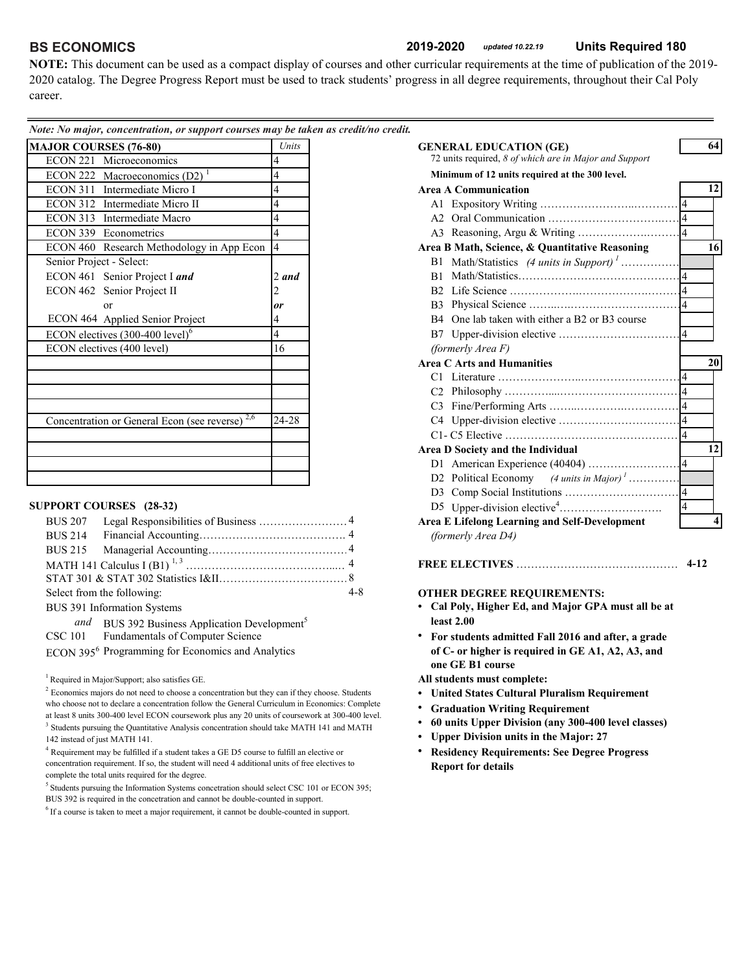**NOTE:** This document can be used as a compact display of courses and other curricular requirements at the time of publication of the 2019- 2020 catalog. The Degree Progress Report must be used to track students' progress in all degree requirements, throughout their Cal Poly career.

*Note: No major, concentration, or support courses may be taken as credit/no credit.*

| <b>MAJOR COURSES (76-80)</b>                       | Units | <b>GENERAL EDUCATION (GE)</b>                          |
|----------------------------------------------------|-------|--------------------------------------------------------|
| ECON 221 Microeconomics                            |       | 72 units required, 8 of which are in Major and Support |
| ECON 222 Macroeconomics $(D2)^{1}$                 |       | Minimum of 12 units required at the 300 level.         |
| ECON 311 Intermediate Micro I                      |       | <b>Area A Communication</b>                            |
| ECON 312 Intermediate Micro II                     |       | A1 Expository Writing                                  |
| ECON 313 Intermediate Macro                        |       |                                                        |
| ECON 339 Econometrics                              |       | A3 Reasoning, Argu & Writing                           |
| ECON 460 Research Methodology in App Econ   4      |       | Area B Math, Science, & Quantitative Reasoning         |
| Senior Project - Select:                           |       | B1 Math/Statistics (4 units in Support) <sup>1</sup>   |
| ECON 461 Senior Project I and                      | 2 and |                                                        |
| ECON 462 Senior Project II                         |       |                                                        |
| or                                                 | or    |                                                        |
| ECON 464 Applied Senior Project                    |       | B4 One lab taken with either a B2 or B3 course         |
| ECON electives $(300-400 \text{ level})^6$         |       |                                                        |
| ECON electives (400 level)                         | 16    | (formerly Area F)                                      |
|                                                    |       | <b>Area C Arts and Humanities</b>                      |
|                                                    |       |                                                        |
|                                                    |       |                                                        |
|                                                    |       |                                                        |
| 2,6<br>Concentration or General Econ (see reverse) | 24-28 |                                                        |
|                                                    |       |                                                        |
|                                                    |       | Area D Society and the Individual                      |
|                                                    |       | D1 American Experience (40404)                         |
|                                                    |       | D2 Political Economy (4 units in Major) <sup>1</sup>   |
|                                                    |       |                                                        |

# **SUPPORT COURSES** (28-32)

|                             |         | Area E Lifelong Learning and Self-Development |
|-----------------------------|---------|-----------------------------------------------|
|                             |         | (formerly Area D4)                            |
|                             |         |                                               |
|                             |         |                                               |
|                             |         |                                               |
| Select from the following:  | $4 - 8$ | <b>OTHER DEGREE REQUIREMENTS:</b>             |
| BUS 391 Information Systems |         | • Cal Poly, Higher Ed, and Major GPA must al  |
|                             |         |                                               |

*and* **BUS 392 Business Application Development**<sup>5</sup> **least 2.00** CSC 101 **•** Fundamentals of Computer Science ECON 395<sup>6</sup> Programming for Economics and Analytics

1 Required in Major/Support; also satisfies GE.

 $2^{2}$  Economics majors do not need to choose a concentration but they can if they choose. Students who choose not to declare a concentration follow the General Curriculum in Economics: Complete at least 8 units 300-400 level ECON coursework plus any 20 units of coursework at 300-400 level. <sup>3</sup> Students pursuing the Quantitative Analysis concentration should take MATH 141 and MATH 142 instead of just MATH 141.

- <sup>4</sup> Requirement may be fulfilled if a student takes a GE D5 course to fulfill an elective or concentration requirement. If so, the student will need 4 additional units of free electives to complete the total units required for the degree.
- <sup>5</sup> Students pursuing the Information Systems concetration should select CSC 101 or ECON 395; BUS 392 is required in the concetration and cannot be double-counted in support.

<sup>6</sup> If a course is taken to meet a major requirement, it cannot be double-counted in support.

| e: No major, concentration, or support courses may be taken as credit/no credit. |       |                                                        |    |
|----------------------------------------------------------------------------------|-------|--------------------------------------------------------|----|
| <b>JOR COURSES (76-80)</b>                                                       | Units | <b>GENERAL EDUCATION (GE)</b>                          | 64 |
| ECON 221 Microeconomics                                                          |       | 72 units required, 8 of which are in Major and Support |    |
| ECON 222 Macroeconomics $(D2)^{1}$                                               |       | Minimum of 12 units required at the 300 level.         |    |
| ECON 311 Intermediate Micro I                                                    |       | <b>Area A Communication</b>                            | 12 |
| ECON 312 Intermediate Micro II                                                   |       |                                                        |    |
| ECON 313 Intermediate Macro                                                      |       |                                                        |    |
| <b>ECON 339 Econometrics</b>                                                     |       |                                                        |    |
| ECON 460 Research Methodology in App Econ  4                                     |       | Area B Math, Science, & Quantitative Reasoning         | 16 |
| Senior Project - Select:                                                         |       | B1 Math/Statistics $(4 \text{ units in Support})^1$    |    |
| ECON 461 Senior Project I and                                                    | 2 and | B1.                                                    |    |
| ECON 462 Senior Project II                                                       |       |                                                        |    |
| or                                                                               | or    |                                                        |    |
| ECON 464 Applied Senior Project                                                  |       | B4 One lab taken with either a B2 or B3 course         |    |
| ECON electives $(300-400 \text{ level})^6$                                       | 4     |                                                        |    |
| ECON electives (400 level)                                                       | 16    | (formerly Area F)                                      |    |
|                                                                                  |       | <b>Area C Arts and Humanities</b>                      | 20 |
|                                                                                  |       |                                                        |    |
|                                                                                  |       |                                                        |    |
|                                                                                  |       |                                                        |    |
| Concentration or General Econ (see reverse) <sup>2,6</sup>                       | 24-28 |                                                        |    |
|                                                                                  |       |                                                        |    |
|                                                                                  |       | Area D Society and the Individual                      | 12 |
|                                                                                  |       |                                                        |    |
|                                                                                  |       | D2 Political Economy $(4 \text{ units in Major})^1$    |    |
|                                                                                  |       |                                                        |    |
| PPORT COURSES (28-32)                                                            |       |                                                        |    |
| <b>BUS 207</b>                                                                   |       | Area E Lifelong Learning and Self-Development          |    |
| BUS 214                                                                          |       | (formerly Area D4)                                     |    |
| BUS 215                                                                          |       |                                                        |    |

MATH 141 Calculus I (B1) 1, 3 …………………………………...…4 **FREE ELECTIVES** ……………………………………… **4-12**

# OTHER DEGREE REQUIREMENTS:

- Cal Poly, Higher Ed, and Major GPA must all be at
- **For students admitted Fall 2016 and after, a grade of C- or higher is required in GE A1, A2, A3, and one GE B1 course**

**All students must complete:**

- **• United States Cultural Pluralism Requirement**
- **• Graduation Writing Requirement**
- **• 60 units Upper Division (any 300-400 level classes)**
- **• Upper Division units in the Major: 27**
- **• Residency Requirements: See Degree Progress Report for details**